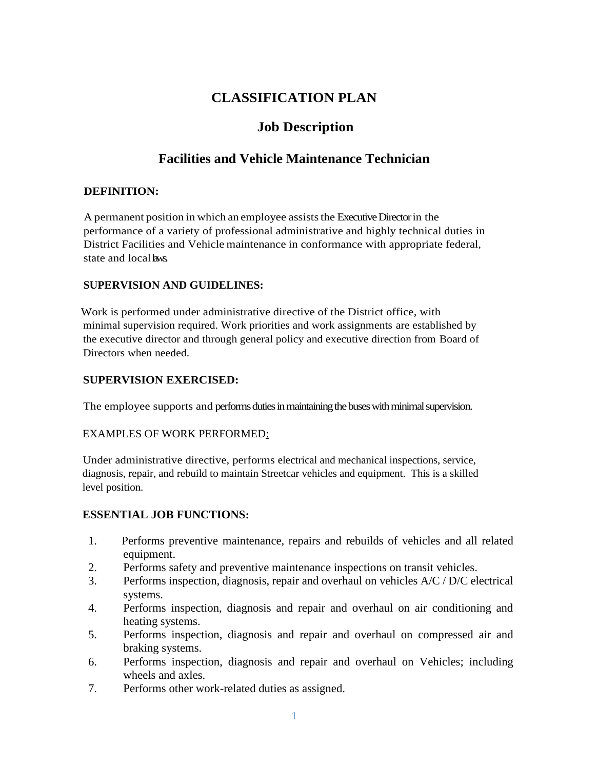# **CLASSIFICATION PLAN**

## **Job Description**

## **Facilities and Vehicle Maintenance Technician**

#### **DEFINITION:**

A permanent position in which an employee assiststhe Executive Directorin the performance of a variety of professional administrative and highly technical duties in District Facilities and Vehicle maintenance in conformance with appropriate federal, state and local hws.

#### **SUPERVISION AND GUIDELINES:**

 Work is performed under administrative directive of the District office, with minimal supervision required. Work priorities and work assignments are established by the executive director and through general policy and executive direction from Board of Directors when needed.

#### **SUPERVISION EXERCISED:**

The employee supports and performs duties in maintaining the buses with minimal supervision.

#### EXAMPLES OF WORK PERFORMED:

Under administrative directive, performs electrical and mechanical inspections, service, diagnosis, repair, and rebuild to maintain Streetcar vehicles and equipment. This is a skilled level position.

#### **ESSENTIAL JOB FUNCTIONS:**

- 1. Performs preventive maintenance, repairs and rebuilds of vehicles and all related equipment.
- 2. Performs safety and preventive maintenance inspections on transit vehicles.
- 3. Performs inspection, diagnosis, repair and overhaul on vehicles A/C / D/C electrical systems.
- 4. Performs inspection, diagnosis and repair and overhaul on air conditioning and heating systems.
- 5. Performs inspection, diagnosis and repair and overhaul on compressed air and braking systems.
- 6. Performs inspection, diagnosis and repair and overhaul on Vehicles; including wheels and axles.
- 7. Performs other work-related duties as assigned.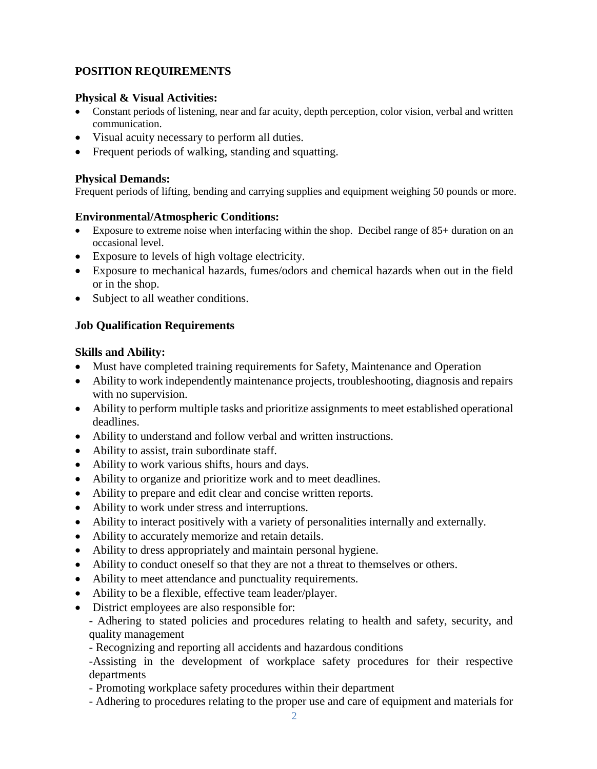## **POSITION REQUIREMENTS**

#### **Physical & Visual Activities:**

- Constant periods of listening, near and far acuity, depth perception, color vision, verbal and written communication.
- Visual acuity necessary to perform all duties.
- Frequent periods of walking, standing and squatting.

#### **Physical Demands:**

Frequent periods of lifting, bending and carrying supplies and equipment weighing 50 pounds or more.

#### **Environmental/Atmospheric Conditions:**

- Exposure to extreme noise when interfacing within the shop. Decibel range of 85+ duration on an occasional level.
- Exposure to levels of high voltage electricity.
- Exposure to mechanical hazards, fumes/odors and chemical hazards when out in the field or in the shop.
- Subject to all weather conditions.

### **Job Qualification Requirements**

#### **Skills and Ability:**

- Must have completed training requirements for Safety, Maintenance and Operation
- Ability to work independently maintenance projects, troubleshooting, diagnosis and repairs with no supervision.
- Ability to perform multiple tasks and prioritize assignments to meet established operational deadlines.
- Ability to understand and follow verbal and written instructions.
- Ability to assist, train subordinate staff.
- Ability to work various shifts, hours and days.
- Ability to organize and prioritize work and to meet deadlines.
- Ability to prepare and edit clear and concise written reports.
- Ability to work under stress and interruptions.
- Ability to interact positively with a variety of personalities internally and externally.
- Ability to accurately memorize and retain details.
- Ability to dress appropriately and maintain personal hygiene.
- Ability to conduct oneself so that they are not a threat to themselves or others.
- Ability to meet attendance and punctuality requirements.
- Ability to be a flexible, effective team leader/player.
- District employees are also responsible for:

- Adhering to stated policies and procedures relating to health and safety, security, and quality management

- Recognizing and reporting all accidents and hazardous conditions

-Assisting in the development of workplace safety procedures for their respective departments

- Promoting workplace safety procedures within their department
- Adhering to procedures relating to the proper use and care of equipment and materials for